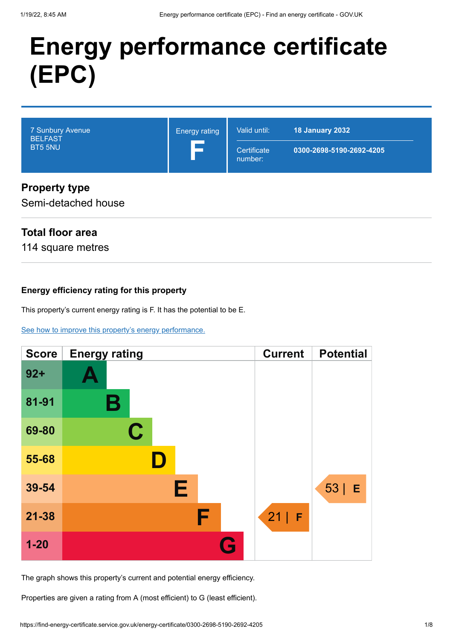# **Energy performance certificate (EPC)**

| 7 Sunbury Avenue<br><b>BELFAST</b><br>BT5 5NU | <b>Energy rating</b> | Valid until:<br>Certificate<br>number: | <b>18 January 2032</b><br>0300-2698-5190-2692-4205 |
|-----------------------------------------------|----------------------|----------------------------------------|----------------------------------------------------|
| <b>Property type</b>                          |                      |                                        |                                                    |

## **Property type**

Semi-detached house

## **Total floor area**

114 square metres

## **Energy efficiency rating for this property**

This property's current energy rating is F. It has the potential to be E.

[See how to improve this property's energy performance.](#page-3-0)



The graph shows this property's current and potential energy efficiency.

Properties are given a rating from A (most efficient) to G (least efficient).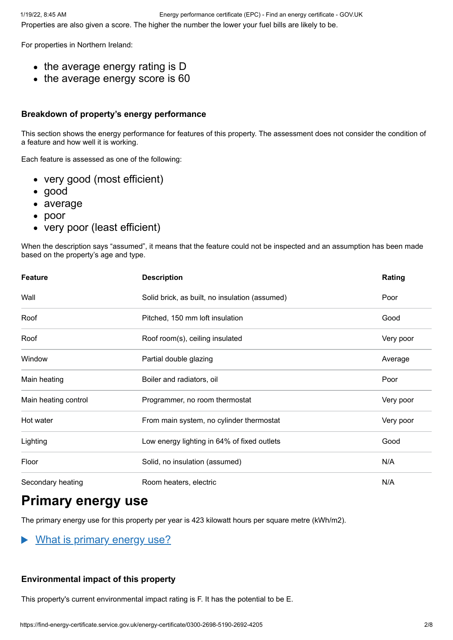For properties in Northern Ireland:

- the average energy rating is D
- the average energy score is 60

#### **Breakdown of property's energy performance**

This section shows the energy performance for features of this property. The assessment does not consider the condition of a feature and how well it is working.

Each feature is assessed as one of the following:

- very good (most efficient)
- good
- average
- poor
- very poor (least efficient)

When the description says "assumed", it means that the feature could not be inspected and an assumption has been made based on the property's age and type.

| <b>Feature</b>       | <b>Description</b>                             | Rating    |
|----------------------|------------------------------------------------|-----------|
| Wall                 | Solid brick, as built, no insulation (assumed) | Poor      |
| Roof                 | Pitched, 150 mm loft insulation                | Good      |
| Roof                 | Roof room(s), ceiling insulated                | Very poor |
| Window               | Partial double glazing                         | Average   |
| Main heating         | Boiler and radiators, oil                      | Poor      |
| Main heating control | Programmer, no room thermostat                 | Very poor |
| Hot water            | From main system, no cylinder thermostat       | Very poor |
| Lighting             | Low energy lighting in 64% of fixed outlets    | Good      |
| Floor                | Solid, no insulation (assumed)                 | N/A       |
| Secondary heating    | Room heaters, electric                         | N/A       |

# **Primary energy use**

The primary energy use for this property per year is 423 kilowatt hours per square metre (kWh/m2).

What is primary energy use?  $\blacktriangleright$ 

## **Environmental impact of this property**

This property's current environmental impact rating is F. It has the potential to be E.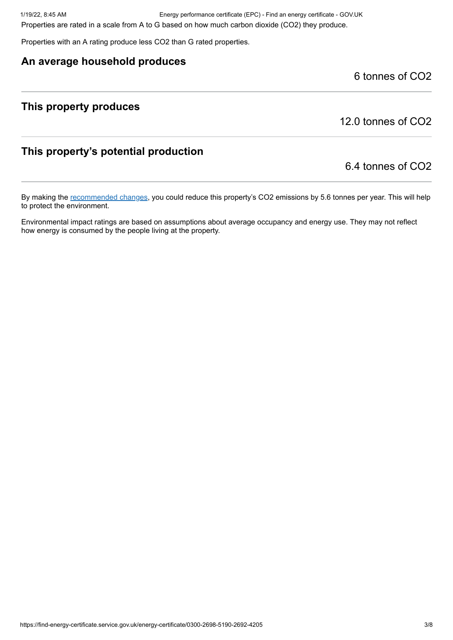1/19/22, 8:45 AM Energy performance certificate (EPC) - Find an energy certificate - GOV.UK Properties are rated in a scale from A to G based on how much carbon dioxide (CO2) they produce.

Properties with an A rating produce less CO2 than G rated properties.

## **An average household produces**

6 tonnes of CO2

## **This property produces**

12.0 tonnes of CO2

## **This property's potential production**

6.4 tonnes of CO2

By making the [recommended changes](#page-3-0), you could reduce this property's CO2 emissions by 5.6 tonnes per year. This will help to protect the environment.

Environmental impact ratings are based on assumptions about average occupancy and energy use. They may not reflect how energy is consumed by the people living at the property.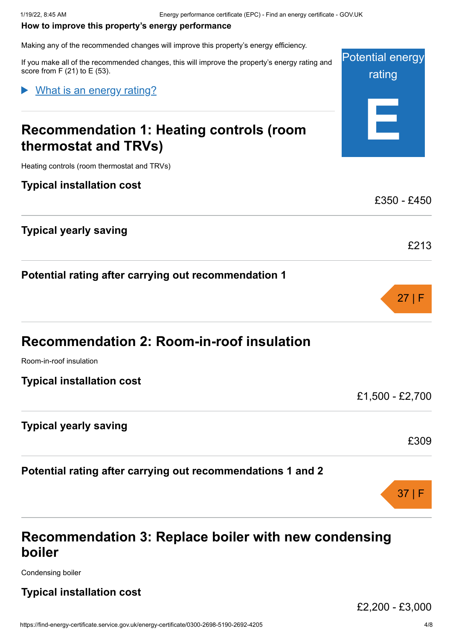#### <span id="page-3-0"></span>**How to improve this property's energy performance**

Making any of the recommended changes will improve this property's energy efficiency.

If you make all of the recommended changes, this will improve the property's energy rating score from  $F(21)$  to  $E(53)$ .

What is an energy rating?

# **Recommendation 1: Heating controls (room thermostat and TRVs)**

Heating controls (room thermostat and TRVs)

#### **Typical installation cost**

**Typical yearly saving**

**Potential rating after carrying out recommendation 1**

Room-in-roof insulation

**Typical installation cost**

£1,500 - £2,700

#### **Typical yearly saving**

#### **Potential rating after carrying out recommendations 1 and 2**

## **Recommendation 3: Replace boiler with new condensing boiler**

Condensing boiler

## **Typical installation cost**

£2,200 - £3,000

| and | <b>Potential energy</b><br>rating |
|-----|-----------------------------------|
|     |                                   |
|     |                                   |



£213

 $f350 - f450$ 

£309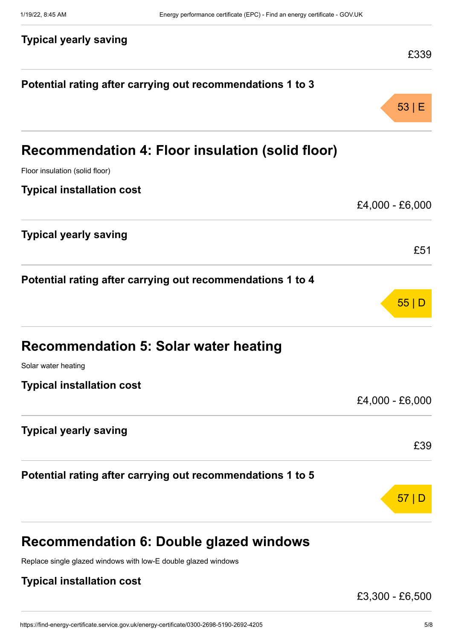| <b>Typical yearly saving</b>                               | £339            |
|------------------------------------------------------------|-----------------|
| Potential rating after carrying out recommendations 1 to 3 |                 |
|                                                            | 53 E            |
| Recommendation 4: Floor insulation (solid floor)           |                 |
| Floor insulation (solid floor)                             |                 |
| <b>Typical installation cost</b>                           |                 |
|                                                            | £4,000 - £6,000 |
| <b>Typical yearly saving</b>                               |                 |
|                                                            | £51             |
| Potential rating after carrying out recommendations 1 to 4 |                 |
|                                                            | 55 D            |
| <b>Recommendation 5: Solar water heating</b>               |                 |
| Solar water heating                                        |                 |
| <b>Typical installation cost</b>                           |                 |
|                                                            | £4,000 - £6,000 |
| <b>Typical yearly saving</b>                               |                 |
|                                                            | £39             |
| Potential rating after carrying out recommendations 1 to 5 |                 |
|                                                            | 57              |
|                                                            |                 |
|                                                            |                 |

# **Recommendation 6: Double glazed windows**

Replace single glazed windows with low-E double glazed windows

## **Typical installation cost**

£3,300 - £6,500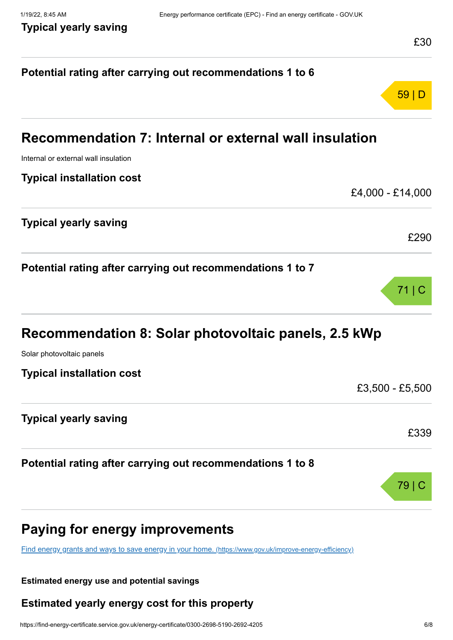|                                                                                                         | £30              |
|---------------------------------------------------------------------------------------------------------|------------------|
| Potential rating after carrying out recommendations 1 to 6                                              |                  |
|                                                                                                         | 59 D             |
| Recommendation 7: Internal or external wall insulation                                                  |                  |
| Internal or external wall insulation                                                                    |                  |
| <b>Typical installation cost</b>                                                                        |                  |
|                                                                                                         | £4,000 - £14,000 |
| <b>Typical yearly saving</b>                                                                            |                  |
|                                                                                                         | £290             |
| Potential rating after carrying out recommendations 1 to 7                                              |                  |
|                                                                                                         | 71               |
| Recommendation 8: Solar photovoltaic panels, 2.5 kWp                                                    |                  |
| Solar photovoltaic panels                                                                               |                  |
| <b>Typical installation cost</b>                                                                        |                  |
|                                                                                                         | £3,500 - £5,500  |
| <b>Typical yearly saving</b>                                                                            |                  |
|                                                                                                         | £339             |
| Potential rating after carrying out recommendations 1 to 8                                              |                  |
|                                                                                                         | 79               |
| <b>Paying for energy improvements</b>                                                                   |                  |
| Find energy grants and ways to save energy in your home. (https://www.gov.uk/improve-energy-efficiency) |                  |

## **Estimated energy use and potential savings**

## **Estimated yearly energy cost for this property**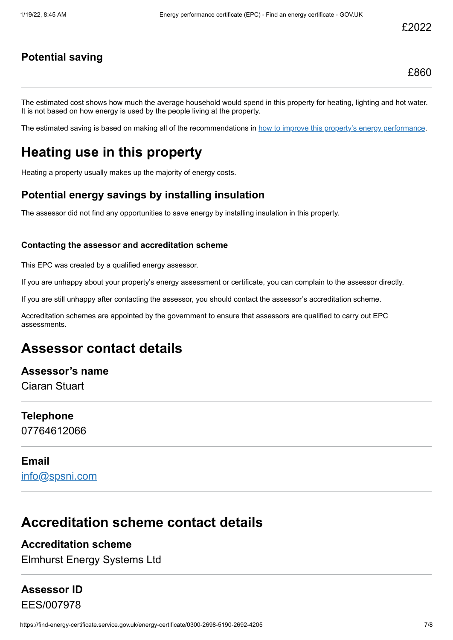## **Potential saving**

The estimated cost shows how much the average household would spend in this property for heating, lighting and hot water. It is not based on how energy is used by the people living at the property.

The estimated saving is based on making all of the recommendations in [how to improve this property's energy performance.](#page-3-0)

# **Heating use in this property**

Heating a property usually makes up the majority of energy costs.

## **Potential energy savings by installing insulation**

The assessor did not find any opportunities to save energy by installing insulation in this property.

#### **Contacting the assessor and accreditation scheme**

This EPC was created by a qualified energy assessor.

If you are unhappy about your property's energy assessment or certificate, you can complain to the assessor directly.

If you are still unhappy after contacting the assessor, you should contact the assessor's accreditation scheme.

Accreditation schemes are appointed by the government to ensure that assessors are qualified to carry out EPC assessments.

## **Assessor contact details**

**Assessor's name** Ciaran Stuart

**Telephone** 07764612066

#### **Email**

[info@spsni.com](mailto:info@spsni.com)

## **Accreditation scheme contact details**

## **Accreditation scheme**

Elmhurst Energy Systems Ltd

## **Assessor ID** EES/007978